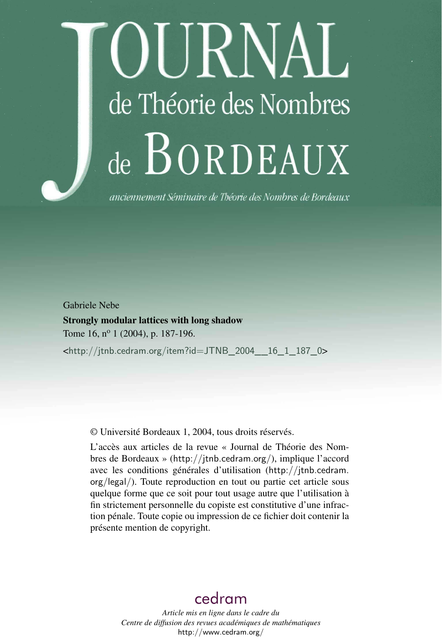# OURNAL de Théorie des Nombres de BORDEAUX

anciennement Séminaire de Théorie des Nombres de Bordeaux

Gabriele Nebe

Strongly modular lattices with long shadow Tome 16, nº 1 (2004), p. 187-196.

<[http://jtnb.cedram.org/item?id=JTNB\\_2004\\_\\_16\\_1\\_187\\_0](http://jtnb.cedram.org/item?id=JTNB_2004__16_1_187_0)>

© Université Bordeaux 1, 2004, tous droits réservés.

L'accès aux articles de la revue « Journal de Théorie des Nombres de Bordeaux » (<http://jtnb.cedram.org/>), implique l'accord avec les conditions générales d'utilisation ([http://jtnb.cedram.](http://jtnb.cedram.org/legal/) [org/legal/](http://jtnb.cedram.org/legal/)). Toute reproduction en tout ou partie cet article sous quelque forme que ce soit pour tout usage autre que l'utilisation à fin strictement personnelle du copiste est constitutive d'une infraction pénale. Toute copie ou impression de ce fichier doit contenir la présente mention de copyright.

## [cedram](http://www.cedram.org/)

*Article mis en ligne dans le cadre du Centre de diffusion des revues académiques de mathématiques* <http://www.cedram.org/>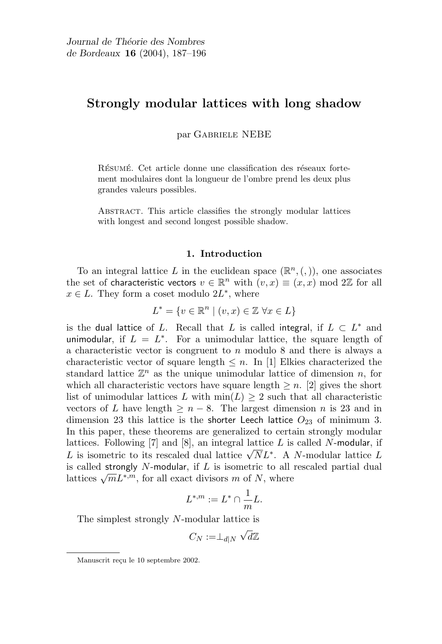### Strongly modular lattices with long shadow

par Gabriele NEBE

RÉSUMÉ. Cet article donne une classification des réseaux fortement modulaires dont la longueur de l'ombre prend les deux plus grandes valeurs possibles.

Abstract. This article classifies the strongly modular lattices with longest and second longest possible shadow.

#### 1. Introduction

To an integral lattice L in the euclidean space  $(\mathbb{R}^n, (,) )$ , one associates the set of characteristic vectors  $v \in \mathbb{R}^n$  with  $(v, x) \equiv (x, x) \bmod 2\mathbb{Z}$  for all  $x \in L$ . They form a coset modulo  $2L^*$ , where

$$
L^* = \{ v \in \mathbb{R}^n \mid (v, x) \in \mathbb{Z} \,\,\forall x \in L \}
$$

is the dual lattice of L. Recall that L is called integral, if  $L \subset L^*$  and unimodular, if  $L = L^*$ . For a unimodular lattice, the square length of a characteristic vector is congruent to  $n$  modulo 8 and there is always a characteristic vector of square length  $\leq n$ . In [1] Elkies characterized the standard lattice  $\mathbb{Z}^n$  as the unique unimodular lattice of dimension n, for which all characteristic vectors have square length  $\geq n$ . [2] gives the short list of unimodular lattices L with  $\min(L) \geq 2$  such that all characteristic vectors of L have length  $\geq n-8$ . The largest dimension n is 23 and in dimension 23 this lattice is the shorter Leech lattice  $O_{23}$  of minimum 3. In this paper, these theorems are generalized to certain strongly modular lattices. Following [7] and [8], an integral lattice  $L$  is called N-modular, if rattices. Following [*i*] and [o], an integral lattice L is called N-modular, if L is isometric to its rescaled dual lattice  $\sqrt{N}L^*$ . A N-modular lattice L is called strongly  $N$ -modular, if  $L$  is isometric to all rescaled partial dual is called strongly *I* amodular, if *L* is isometric to all lattices  $\sqrt{m}L^{*,m}$ , for all exact divisors *m* of *N*, where

$$
L^{*,m} := L^* \cap \frac{1}{m}L.
$$

The simplest strongly N-modular lattice is

$$
C_N:=\perp_{d|N}\sqrt{d}\mathbb{Z}
$$

Manuscrit reçu le 10 septembre 2002.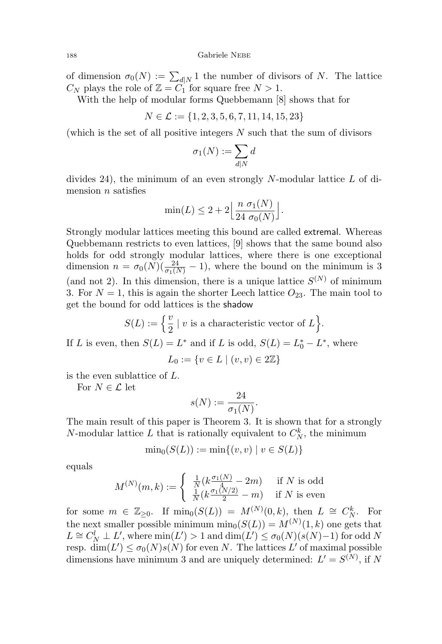of dimension  $\sigma_0(N) := \sum_{d|N} 1$  the number of divisors of N. The lattice  $C_N$  plays the role of  $\mathbb{Z} = C_1$  for square free  $N > 1$ .

With the help of modular forms Quebbemann [8] shows that for

$$
N \in \mathcal{L} := \{1, 2, 3, 5, 6, 7, 11, 14, 15, 23\}
$$

(which is the set of all positive integers  $N$  such that the sum of divisors

$$
\sigma_1(N) := \sum_{d|N} d
$$

divides 24), the minimum of an even strongly N-modular lattice  $L$  of dimension  $n$  satisfies

$$
\min(L) \le 2 + 2 \left\lfloor \frac{n \sigma_1(N)}{24 \sigma_0(N)} \right\rfloor.
$$

Strongly modular lattices meeting this bound are called extremal. Whereas Quebbemann restricts to even lattices, [9] shows that the same bound also holds for odd strongly modular lattices, where there is one exceptional dimension  $n = \sigma_0(N)(\frac{24}{\sigma_1(N)} - 1)$ , where the bound on the minimum is 3 (and not 2). In this dimension, there is a unique lattice  $S^{(N)}$  of minimum 3. For  $N = 1$ , this is again the shorter Leech lattice  $O_{23}$ . The main tool to get the bound for odd lattices is the shadow

$$
S(L) := \left\{ \frac{v}{2} \mid v \text{ is a characteristic vector of } L \right\}.
$$

If L is even, then  $S(L) = L^*$  and if L is odd,  $S(L) = L_0^* - L^*$ , where

$$
L_0 := \{ v \in L \mid (v, v) \in 2\mathbb{Z} \}
$$

is the even sublattice of L.

For  $N\in\mathcal{L}$  let

$$
s(N) := \frac{24}{\sigma_1(N)}.
$$

The main result of this paper is Theorem 3. It is shown that for a strongly N-modular lattice L that is rationally equivalent to  $C_N^k$ , the minimum

$$
\min_{0}(S(L)) := \min\{(v, v) \mid v \in S(L)\}
$$

equals

$$
M^{(N)}(m,k) := \begin{cases} \frac{1}{N} (k \frac{\sigma_1(N)}{4} - 2m) & \text{if } N \text{ is odd} \\ \frac{1}{N} (k \frac{\sigma_1(N/2)}{2} - m) & \text{if } N \text{ is even} \end{cases}
$$

for some  $m \in \mathbb{Z}_{\geq 0}$ . If  $\min_0(S(L)) = M^{(N)}(0, k)$ , then  $L \cong C_N^k$ . For the next smaller possible minimum  $\min_0(S(L)) = M^{(N)}(1, k)$  one gets that  $L \cong C_N^l \perp L'$ , where  $\min(L') > 1$  and  $\dim(L') \leq \sigma_0(N)(s(N)-1)$  for odd N resp.  $\dim(L') \leq \sigma_0(N) s(N)$  for even N. The lattices L' of maximal possible dimensions have minimum 3 and are uniquely determined:  $L' = S^{(N)}$ , if N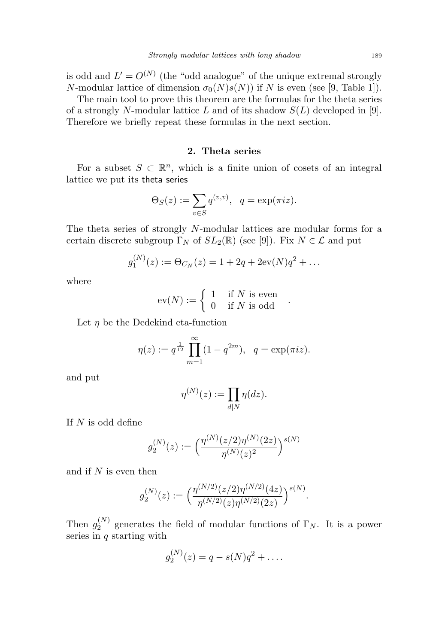is odd and  $L' = O^{(N)}$  (the "odd analogue" of the unique extremal strongly N-modular lattice of dimension  $\sigma_0(N)s(N)$  if N is even (see [9, Table 1]).

The main tool to prove this theorem are the formulas for the theta series of a strongly N-modular lattice L and of its shadow  $S(L)$  developed in [9]. Therefore we briefly repeat these formulas in the next section.

#### 2. Theta series

For a subset  $S \subset \mathbb{R}^n$ , which is a finite union of cosets of an integral lattice we put its theta series

$$
\Theta_S(z) := \sum_{v \in S} q^{(v,v)}, \quad q = \exp(\pi i z).
$$

The theta series of strongly N-modular lattices are modular forms for a certain discrete subgroup  $\Gamma_N$  of  $SL_2(\mathbb{R})$  (see [9]). Fix  $N \in \mathcal{L}$  and put

$$
g_1^{(N)}(z) := \Theta_{C_N}(z) = 1 + 2q + 2\mathrm{ev}(N)q^2 + \dots
$$

where

$$
ev(N) := \begin{cases} 1 & \text{if } N \text{ is even} \\ 0 & \text{if } N \text{ is odd} \end{cases}.
$$

Let  $\eta$  be the Dedekind eta-function

$$
\eta(z) := q^{\frac{1}{12}} \prod_{m=1}^{\infty} (1 - q^{2m}), \quad q = \exp(\pi i z).
$$

and put

$$
\eta^{(N)}(z) := \prod_{d|N} \eta(dz).
$$

If  $N$  is odd define

$$
g_2^{(N)}(z) := \left(\frac{\eta^{(N)}(z/2)\eta^{(N)}(2z)}{\eta^{(N)}(z)^2}\right)^{s(N)}
$$

and if  $N$  is even then

$$
g_2^{(N)}(z) := \Big(\frac{\eta^{(N/2)}(z/2)\eta^{(N/2)}(4z)}{\eta^{(N/2)}(z)\eta^{(N/2)}(2z)}\Big)^{s(N)}.
$$

Then  $g_2^{(N)}$  $2^{(N)}$  generates the field of modular functions of  $\Gamma_N$ . It is a power series in  $q$  starting with

$$
g_2^{(N)}(z) = q - s(N)q^2 + \dots
$$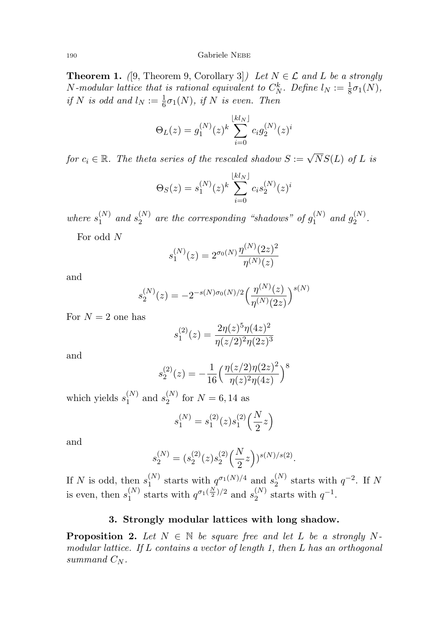<sup>190</sup> Gabriele Nebe

**Theorem 1.** ([9, Theorem 9, Corollary 3]) Let  $N \in \mathcal{L}$  and L be a strongly *N*-modular lattice that is rational equivalent to  $C_N^k$ . Define  $l_N := \frac{1}{8}\sigma_1(N)$ , if N is odd and  $l_N := \frac{1}{6}\sigma_1(N)$ , if N is even. Then

$$
\Theta_L(z) = g_1^{(N)}(z)^k \sum_{i=0}^{\lfloor kl_N \rfloor} c_i g_2^{(N)}(z)^i
$$

for  $c_i \in \mathbb{R}$ . The theta series of the rescaled shadow  $S := \sqrt{N}S(L)$  of L is

$$
\Theta_S(z) = s_1^{(N)}(z)^k \sum_{i=0}^{\lfloor kl_N \rfloor} c_i s_2^{(N)}(z)^i
$$

where  $s_1^{(N)}$  $_{1}^{(N)}$  and  $s_{2}^{(N)}$  $_2^{(N)}$  are the corresponding "shadows" of  $g_1^{(N)}$  $g_1^{(N)}$  and  $g_2^{(N)}$  $2^{(N)}$ 

For odd N

$$
s_1^{(N)}(z)=2^{\sigma_0(N)}\frac{\eta^{(N)}(2z)^2}{\eta^{(N)}(z)}
$$

and

$$
s_2^{(N)}(z) = -2^{-s(N)\sigma_0(N)/2} \left(\frac{\eta^{(N)}(z)}{\eta^{(N)}(2z)}\right)^{s(N)}
$$

For  $N = 2$  one has

$$
s_1^{(2)}(z) = \frac{2\eta(z)^5 \eta(4z)^2}{\eta(z/2)^2 \eta(2z)^3}
$$

and

$$
s_2^{(2)}(z) = -\frac{1}{16} \left( \frac{\eta(z/2)\eta(2z)^2}{\eta(z)^2 \eta(4z)} \right)^8
$$

which yields  $s_1^{(N)}$  $_1^{(N)}$  and  $s_2^{(N)}$  $_2^{(N)}$  for  $N = 6, 14$  as

$$
s_1^{(N)} = s_1^{(2)}(z)s_1^{(2)}\left(\frac{N}{2}z\right)
$$

and

$$
s_2^{(N)} = (s_2^{(2)}(z)s_2^{(2)}(\frac{N}{2}z))^{s(N)/s(2)}.
$$

If N is odd, then  $s_1^{(N)}$  $_1^{(N)}$  starts with  $q^{\sigma_1(N)/4}$  and  $s_2^{(N)}$  $_2^{(N)}$  starts with  $q^{-2}$ . If N is even, then  $s_1^{(N)}$  $_1^{(N)}$  starts with  $q^{\sigma_1(\frac{N}{2})/2}$  and  $s_2^{(N)}$  $_2^{(N)}$  starts with  $q^{-1}$ .

#### 3. Strongly modular lattices with long shadow.

**Proposition 2.** Let  $N \in \mathbb{N}$  be square free and let L be a strongly Nmodular lattice. If L contains a vector of length 1, then L has an orthogonal summand  $C_N$ .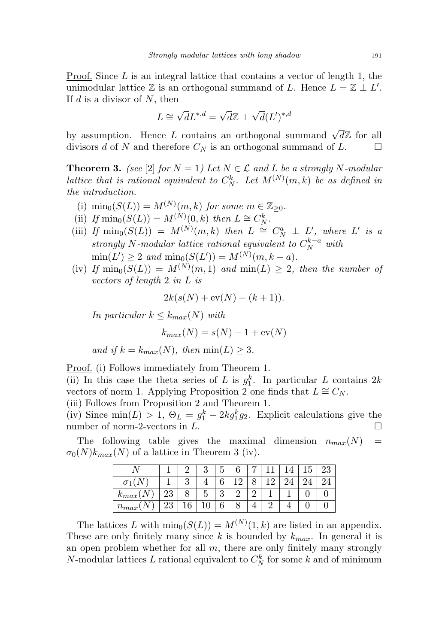Proof. Since  $L$  is an integral lattice that contains a vector of length 1, the unimodular lattice  $\mathbb Z$  is an orthogonal summand of L. Hence  $L = \mathbb Z \perp L'$ . If  $d$  is a divisor of  $N$ , then

$$
L \cong \sqrt{d}L^{*,d} = \sqrt{d}\mathbb{Z} \perp \sqrt{d}(L')^{*,d}
$$

by assumption. Hence L contains an orthogonal summand  $\sqrt{d}\mathbb{Z}$  for all divisors d of N and therefore  $C_N$  is an orthogonal summand of L.

**Theorem 3.** (see [2] for  $N = 1$ ) Let  $N \in \mathcal{L}$  and L be a strongly N-modular lattice that is rational equivalent to  $C_N^k$ . Let  $M^{(N)}(m, k)$  be as defined in the introduction.

- (i)  $\min_0(S(L)) = M^{(N)}(m, k)$  for some  $m \in \mathbb{Z}_{\geq 0}$ .
- (ii) If  $\min_0(S(L)) = M^{(N)}(0, k)$  then  $L \cong C_N^k$ .
- (iii) If  $\min_0(S(L)) = M^{(N)}(m, k)$  then  $L \cong C_N^a \perp L'$ , where L' is a strongly N-modular lattice rational equivalent to  $C_N^{k-a}$  with  $\min(L') \ge 2$  and  $\min_0(S(L')) = M^{(N)}(m, k - a)$ .
- (iv) If  $\min_0(S(L)) = M^{(N)}(m,1)$  and  $\min(L) \geq 2$ , then the number of vectors of length 2 in L is

$$
2k(s(N) + \text{ev}(N) - (k+1)).
$$

In particular  $k \leq k_{max}(N)$  with

$$
k_{max}(N) = s(N) - 1 + \text{ev}(N)
$$

and if  $k = k_{max}(N)$ , then  $min(L) \geq 3$ .

Proof. (i) Follows immediately from Theorem 1.

(ii) In this case the theta series of L is  $g_1^k$ . In particular L contains 2k vectors of norm 1. Applying Proposition 2 one finds that  $L \cong C_N$ .

(iii) Follows from Proposition 2 and Theorem 1.

(iv) Since  $min(L) > 1$ ,  $\Theta_L = g_1^k - 2k g_1^k g_2$ . Explicit calculations give the number of norm-2-vectors in  $L$ .

The following table gives the maximal dimension  $n_{max}(N)$  =  $\sigma_0(N)k_{max}(N)$  of a lattice in Theorem 3 (iv).

|                     |          |    |    | ⊢<br>⊍ |          |  | ౿ |  |
|---------------------|----------|----|----|--------|----------|--|---|--|
|                     |          |    |    | U      | $\Omega$ |  |   |  |
| "<br>$\kappa_{max}$ | ററ<br>∠ປ |    |    | ച<br>ಀ |          |  |   |  |
| $n_{max}$           | ∠ບ       | 10 | ⊥∪ | U      |          |  |   |  |

The lattices L with  $\min_0(S(L)) = M^{(N)}(1, k)$  are listed in an appendix. These are only finitely many since k is bounded by  $k_{max}$ . In general it is an open problem whether for all  $m$ , there are only finitely many strongly N-modular lattices L rational equivalent to  $C_N^k$  for some k and of minimum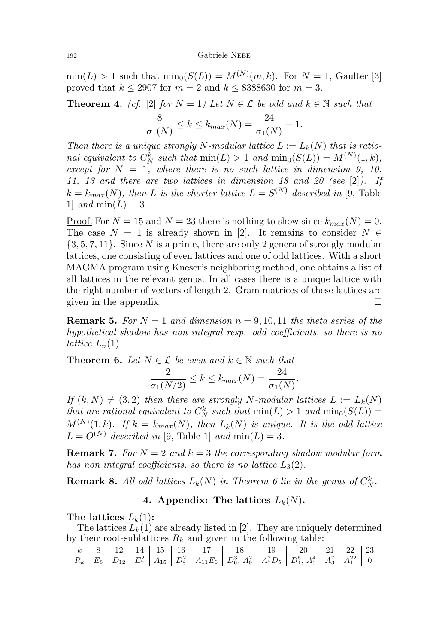#### <sup>192</sup> Gabriele Nebe

 $\min(L) > 1$  such that  $\min_0(S(L)) = M^{(N)}(m, k)$ . For  $N = 1$ , Gaulter [3] proved that  $k \le 2907$  for  $m = 2$  and  $k \le 8388630$  for  $m = 3$ .

**Theorem 4.** (cf. [2] for  $N = 1$ ) Let  $N \in \mathcal{L}$  be odd and  $k \in \mathbb{N}$  such that 8  $\frac{8}{\sigma_1(N)} \le k \le k_{max}(N) = \frac{24}{\sigma_1(N)} - 1.$ 

Then there is a unique strongly N-modular lattice  $L := L_k(N)$  that is rational equivalent to  $C_N^k$  such that  $\min(L) > 1$  and  $\min_0(S(L)) = M^{(N)}(1, k)$ , except for  $N = 1$ , where there is no such lattice in dimension 9, 10, 11, 13 and there are two lattices in dimension 18 and 20 (see  $[2]$ ). If  $k = k_{max}(N)$ , then L is the shorter lattice  $L = S^{(N)}$  described in [9, Table 1] and  $\min(L) = 3$ .

<u>Proof.</u> For  $N = 15$  and  $N = 23$  there is nothing to show since  $k_{max}(N) = 0$ . The case  $N = 1$  is already shown in [2]. It remains to consider  $N \in$  $\{3, 5, 7, 11\}$ . Since N is a prime, there are only 2 genera of strongly modular lattices, one consisting of even lattices and one of odd lattices. With a short MAGMA program using Kneser's neighboring method, one obtains a list of all lattices in the relevant genus. In all cases there is a unique lattice with the right number of vectors of length 2. Gram matrices of these lattices are given in the appendix.  $\Box$ 

**Remark 5.** For  $N = 1$  and dimension  $n = 9, 10, 11$  the theta series of the hypothetical shadow has non integral resp. odd coefficients, so there is no lattice  $L_n(1)$ .

**Theorem 6.** Let 
$$
N \in \mathcal{L}
$$
 be even and  $k \in \mathbb{N}$  such that  
\n
$$
\frac{2}{\sigma_1(N/2)} \le k \le k_{max}(N) = \frac{24}{\sigma_1(N)}.
$$

If  $(k, N) \neq (3, 2)$  then there are strongly N-modular lattices  $L := L_k(N)$ that are rational equivalent to  $C_N^k$  such that  $min(L) > 1$  and  $min_0(S(L)) =$  $M^{(N)}(1,k)$ . If  $k = k_{max}(N)$ , then  $L_k(N)$  is unique. It is the odd lattice  $L = O^{(N)}$  described in [9, Table 1] and  $\min(L) = 3$ .

**Remark 7.** For  $N = 2$  and  $k = 3$  the corresponding shadow modular form has non integral coefficients, so there is no lattice  $L_3(2)$ .

**Remark 8.** All odd lattices  $L_k(N)$  in Theorem 6 lie in the genus of  $C_N^k$ .

#### 4. Appendix: The lattices  $L_k(N)$ .

The lattices  $L_k(1)$ :

The lattices  $L_k(1)$  are already listed in [2]. They are uniquely determined by their root-sublattices  $R_k$  and given in the following table:

|  |  |  | $k$   8   12   14   15   16   17   18                                                                                         | - 20 | $121$   22   23 |  |
|--|--|--|-------------------------------------------------------------------------------------------------------------------------------|------|-----------------|--|
|  |  |  | $R_k$ $E_8$ $D_{12}$ $E_7^2$ $A_{15}$ $D_8^2$ $A_{11}E_6$ $D_6^3$ , $A_9^2$ $A_7^2D_5$ $D_4^5$ , $A_5^4$ $A_3^7$ $A_1^{22}$ 0 |      |                 |  |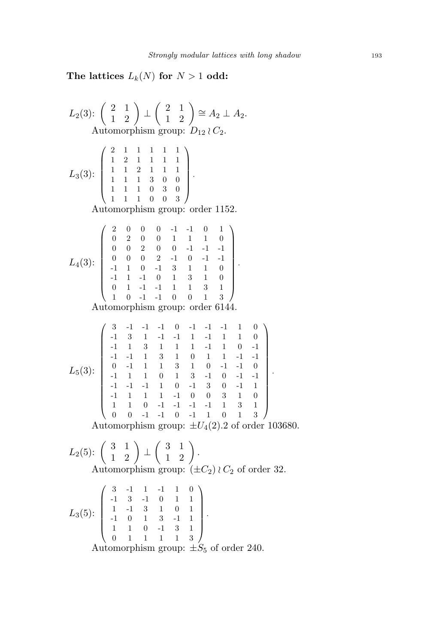$\vert \cdot$ 

The lattices  $L_k(N)$  for  $N > 1$  odd:

L<sub>2</sub>(3): 
$$
\begin{pmatrix} 2 & 1 \ 1 & 2 \end{pmatrix} \perp \begin{pmatrix} 2 & 1 \ 1 & 2 \end{pmatrix} \cong A_2 \perp A_2
$$
.  
\nAutomorphism group:  $D_{12} \wr C_2$ .  
\n $L_3(3): \begin{pmatrix} 2 & 1 & 1 & 1 & 1 & 1 \ 1 & 2 & 1 & 1 & 1 & 1 \ 1 & 1 & 1 & 3 & 0 & 0 \ 1 & 1 & 1 & 0 & 3 & 0 \ 1 & 1 & 1 & 0 & 0 & 3 \end{pmatrix}$ .  
\nAutomorphism group: order 1152.  
\n $L_4(3): \begin{pmatrix} 2 & 0 & 0 & 0 & -1 & -1 & 0 & 1 \ 0 & 2 & 0 & 0 & 1 & 1 & 1 & 0 \ 0 & 0 & 2 & 0 & 0 & -1 & -1 & -1 \ 0 & 1 & 0 & 1 & 3 & 1 & 10 \ 0 & 1 & -1 & 0 & 1 & 3 & 1 & 10 \ 0 & 1 & -1 & -1 & 0 & 1 & 3 & 1 & 0 \ 0 & 1 & -1 & -1 & 0 & 0 & 1 & 3 \end{pmatrix}$ .  
\nAutomorphism group: order 6144.  
\n $\begin{pmatrix} 3 & -1 & -1 & -1 & 0 & -1 & -1 & -1 & 1 & 0 \ 0 & 1 & 3 & 1 & 0 & 1 & 1 & 0 & -1 \ 1 & 1 & 3 & 1 & 0 & 1 & 1 & -1 & 1 & 0 \ 0 & -1 & 1 & 1 & 1 & 3 & 1 & 0 & -1 & -1 \ 0 & -1 & 1 & 1 & 1 & 3 & 1 & 0 & -1 & -1 & 0 \ 0 & 1 & 1 & 1 & 1 & 1 & 1 & 1 & 1 & 0 & -1 & 0 \ 0 & 1 & 1 & 1 & 1 & 1 & 1 & 1 & 1 & 1 & 1 & 0 \ 0 & 0 & 1 & 1 & 1 & 1 & 1 & 1 & 1 & 1 & 1 & 1 \ 0 & 1 & 1 & 1 & 1 & 1 & 1 & 1 & 1 & 1 & 1 & 1 \ 1 & 1 & 1 & 1 & 1 & 1 & 1 &$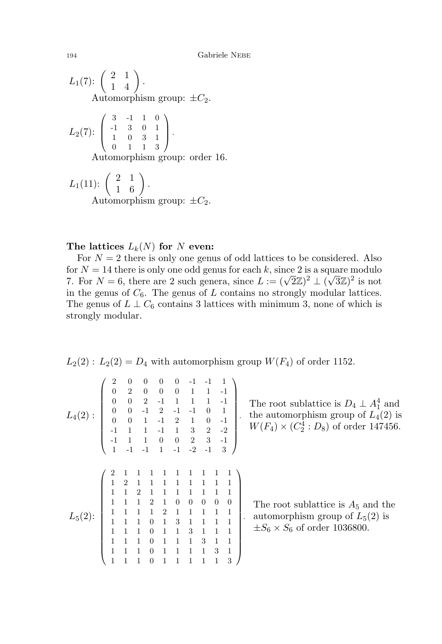$L_1(7)$ :  $\left(\begin{array}{cc} 2 & 1 \ 1 & 4 \end{array}\right)$  . Automorphism group:  $\pm C_2$ .

$$
L_2(7): \left(\begin{array}{cccc} 3 & -1 & 1 & 0 \\ -1 & 3 & 0 & 1 \\ 1 & 0 & 3 & 1 \\ 0 & 1 & 1 & 3 \end{array}\right).
$$
  
Automorphism group: order 16.

$$
L_1(11): \begin{pmatrix} 2 & 1 \\ 1 & 6 \end{pmatrix}.
$$
  
Automorphism group:  $\pm C_2$ .

#### The lattices  $L_k(N)$  for N even:

For  $N = 2$  there is only one genus of odd lattices to be considered. Also for  $N = 14$  there is only one odd genus for each k, since 2 is a square modulo For  $N = 14$  there is only one odd genus for each  $\kappa$ , since 2 is a square modulo 7. For  $N = 6$ , there are 2 such genera, since  $L := (\sqrt{2}\mathbb{Z})^2 \perp (\sqrt{3}\mathbb{Z})^2$  is not in the genus of  $C_6$ . The genus of L contains no strongly modular lattices. The genus of  $L \perp C_6$  contains 3 lattices with minimum 3, none of which is strongly modular.

$$
L_2(2): L_2(2) = D_4
$$
 with automorphism group  $W(F_4)$  of order 1152.

$$
L_4(2): \begin{pmatrix} 2 & 0 & 0 & 0 & 0 & -1 & -1 & 1 \\ 0 & 2 & 0 & 0 & 0 & 1 & 1 & -1 \\ 0 & 0 & 2 & -1 & 1 & 1 & 1 & -1 \\ 0 & 0 & -1 & 2 & -1 & -1 & 0 & 1 \\ 0 & 0 & 1 & -1 & 2 & 1 & 0 & -1 \\ -1 & 1 & 1 & -1 & 1 & 3 & 2 & -2 \\ -1 & 1 & 1 & 0 & 0 & 2 & 3 & -1 \\ 1 & -1 & -1 & 1 & -1 & -2 & -1 & 3 \end{pmatrix}.
$$
  
\n
$$
L_5(2): \begin{pmatrix} 2 & 1 & 1 & 1 & 1 & 1 & 1 & 1 \\ 1 & 2 & 1 & 1 & 1 & 1 & 1 & 1 \\ 1 & 1 & 2 & 1 & 0 & 0 & 0 & 0 \\ 1 & 1 & 1 & 2 & 1 & 1 & 1 & 1 \\ 1 & 1 & 1 & 0 & 1 & 3 & 1 & 1 & 1 \\ 1 & 1 & 1 & 0 & 1 & 1 & 3 & 1 & 1 \\ 1 & 1 & 1 & 0 & 1 & 1 & 1 & 3 & 1 \\ 1 & 1 & 1 & 0 & 1 & 1 & 1 & 1 & 3 \end{pmatrix}.
$$

The root sublattice is  $D_4 \perp A_1^4$  and the automorphism group of  $L_4(2)$  is  $W(F_4) \times (C_2^4 : D_8)$  of order 147456.

ultimation around the L<sub>5</sub>(2) is The root sublattice is  $A_5$  and the  $\pm S_6 \times S_6$  of order 1036800.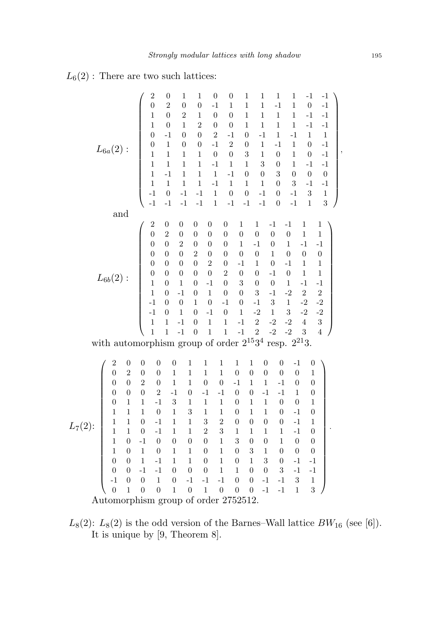$L_6(2)$ : There are two such lattices:

Automorphism group of order 2752512.

 $L_8(2)$ :  $L_8(2)$  is the odd version of the Barnes–Wall lattice  $BW_{16}$  (see [6]). It is unique by [9, Theorem 8].

,